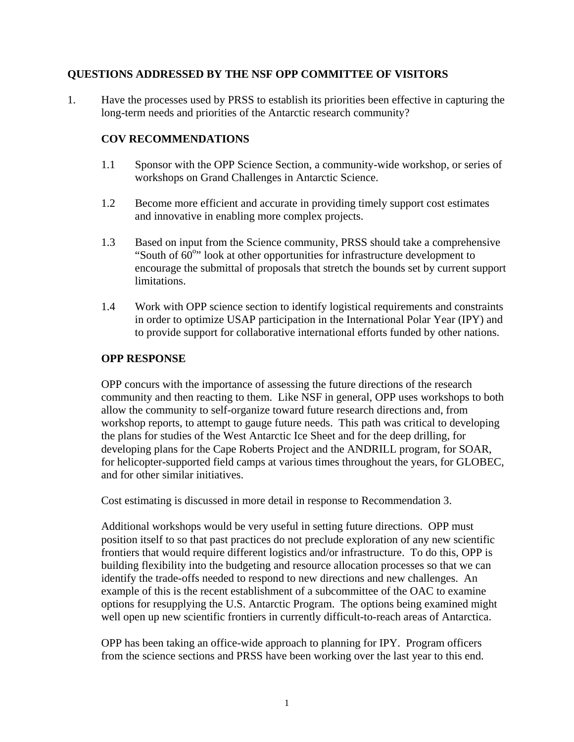## **QUESTIONS ADDRESSED BY THE NSF OPP COMMITTEE OF VISITORS**

1. Have the processes used by PRSS to establish its priorities been effective in capturing the long-term needs and priorities of the Antarctic research community?

# **COV RECOMMENDATIONS**

- 1.1 Sponsor with the OPP Science Section, a community-wide workshop, or series of workshops on Grand Challenges in Antarctic Science.
- 1.2 Become more efficient and accurate in providing timely support cost estimates and innovative in enabling more complex projects.
- 1.3 Based on input from the Science community, PRSS should take a comprehensive "South of  $60^{\circ}$ " look at other opportunities for infrastructure development to encourage the submittal of proposals that stretch the bounds set by current support limitations.
- 1.4 Work with OPP science section to identify logistical requirements and constraints in order to optimize USAP participation in the International Polar Year (IPY) and to provide support for collaborative international efforts funded by other nations.

#### **OPP RESPONSE**

OPP concurs with the importance of assessing the future directions of the research community and then reacting to them. Like NSF in general, OPP uses workshops to both allow the community to self-organize toward future research directions and, from workshop reports, to attempt to gauge future needs. This path was critical to developing the plans for studies of the West Antarctic Ice Sheet and for the deep drilling, for developing plans for the Cape Roberts Project and the ANDRILL program, for SOAR, for helicopter-supported field camps at various times throughout the years, for GLOBEC, and for other similar initiatives.

Cost estimating is discussed in more detail in response to Recommendation 3.

Additional workshops would be very useful in setting future directions. OPP must position itself to so that past practices do not preclude exploration of any new scientific frontiers that would require different logistics and/or infrastructure. To do this, OPP is building flexibility into the budgeting and resource allocation processes so that we can identify the trade-offs needed to respond to new directions and new challenges. An example of this is the recent establishment of a subcommittee of the OAC to examine options for resupplying the U.S. Antarctic Program. The options being examined might well open up new scientific frontiers in currently difficult-to-reach areas of Antarctica.

OPP has been taking an office-wide approach to planning for IPY. Program officers from the science sections and PRSS have been working over the last year to this end.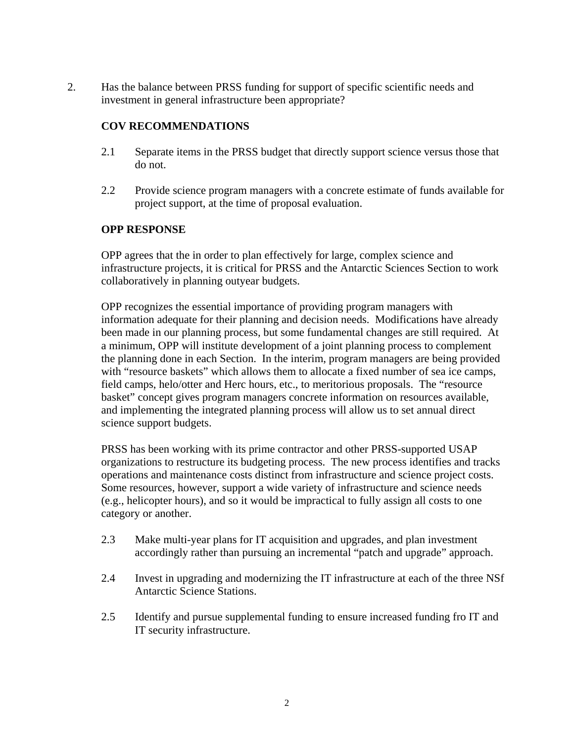2. Has the balance between PRSS funding for support of specific scientific needs and investment in general infrastructure been appropriate?

# **COV RECOMMENDATIONS**

- 2.1 Separate items in the PRSS budget that directly support science versus those that do not.
- 2.2 Provide science program managers with a concrete estimate of funds available for project support, at the time of proposal evaluation.

## **OPP RESPONSE**

OPP agrees that the in order to plan effectively for large, complex science and infrastructure projects, it is critical for PRSS and the Antarctic Sciences Section to work collaboratively in planning outyear budgets.

OPP recognizes the essential importance of providing program managers with information adequate for their planning and decision needs. Modifications have already been made in our planning process, but some fundamental changes are still required. At a minimum, OPP will institute development of a joint planning process to complement the planning done in each Section. In the interim, program managers are being provided with "resource baskets" which allows them to allocate a fixed number of sea ice camps, field camps, helo/otter and Herc hours, etc., to meritorious proposals. The "resource basket" concept gives program managers concrete information on resources available, and implementing the integrated planning process will allow us to set annual direct science support budgets.

PRSS has been working with its prime contractor and other PRSS-supported USAP organizations to restructure its budgeting process. The new process identifies and tracks operations and maintenance costs distinct from infrastructure and science project costs. Some resources, however, support a wide variety of infrastructure and science needs (e.g., helicopter hours), and so it would be impractical to fully assign all costs to one category or another.

- 2.3 Make multi-year plans for IT acquisition and upgrades, and plan investment accordingly rather than pursuing an incremental "patch and upgrade" approach.
- 2.4 Invest in upgrading and modernizing the IT infrastructure at each of the three NSf Antarctic Science Stations.
- 2.5 Identify and pursue supplemental funding to ensure increased funding fro IT and IT security infrastructure.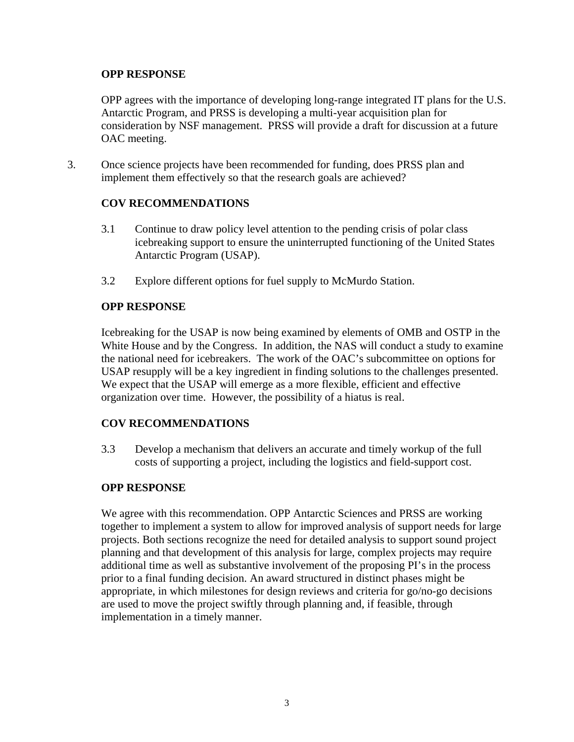#### **OPP RESPONSE**

OPP agrees with the importance of developing long-range integrated IT plans for the U.S. Antarctic Program, and PRSS is developing a multi-year acquisition plan for consideration by NSF management. PRSS will provide a draft for discussion at a future OAC meeting.

3. Once science projects have been recommended for funding, does PRSS plan and implement them effectively so that the research goals are achieved?

## **COV RECOMMENDATIONS**

- 3.1 Continue to draw policy level attention to the pending crisis of polar class icebreaking support to ensure the uninterrupted functioning of the United States Antarctic Program (USAP).
- 3.2 Explore different options for fuel supply to McMurdo Station.

#### **OPP RESPONSE**

Icebreaking for the USAP is now being examined by elements of OMB and OSTP in the White House and by the Congress. In addition, the NAS will conduct a study to examine the national need for icebreakers. The work of the OAC's subcommittee on options for USAP resupply will be a key ingredient in finding solutions to the challenges presented. We expect that the USAP will emerge as a more flexible, efficient and effective organization over time. However, the possibility of a hiatus is real.

## **COV RECOMMENDATIONS**

3.3 Develop a mechanism that delivers an accurate and timely workup of the full costs of supporting a project, including the logistics and field-support cost.

#### **OPP RESPONSE**

We agree with this recommendation. OPP Antarctic Sciences and PRSS are working together to implement a system to allow for improved analysis of support needs for large projects. Both sections recognize the need for detailed analysis to support sound project planning and that development of this analysis for large, complex projects may require additional time as well as substantive involvement of the proposing PI's in the process prior to a final funding decision. An award structured in distinct phases might be appropriate, in which milestones for design reviews and criteria for go/no-go decisions are used to move the project swiftly through planning and, if feasible, through implementation in a timely manner.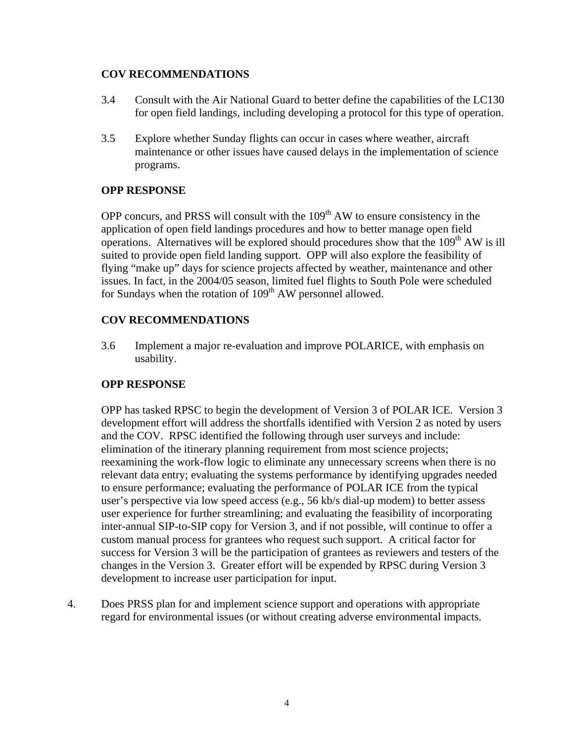#### **COV RECOMMENDATIONS**

- 3.4 Consult with the Air National Guard to better define the capabilities of the LC130 for open field landings, including developing a protocol for this type of operation.
- 3.5 Explore whether Sunday flights can occur in cases where weather, aircraft maintenance or other issues have caused delays in the implementation of science programs.

## **OPP RESPONSE**

OPP concurs, and PRSS will consult with the  $109<sup>th</sup>$  AW to ensure consistency in the application of open field landings procedures and how to better manage open field operations. Alternatives will be explored should procedures show that the  $109<sup>th</sup>$  AW is ill suited to provide open field landing support. OPP will also explore the feasibility of flying "make up" days for science projects affected by weather, maintenance and other issues. In fact, in the 2004/05 season, limited fuel flights to South Pole were scheduled for Sundays when the rotation of  $109<sup>th</sup>$  AW personnel allowed.

## **COV RECOMMENDATIONS**

3.6 Implement a major re-evaluation and improve POLARICE, with emphasis on usability.

## **OPP RESPONSE**

OPP has tasked RPSC to begin the development of Version 3 of POLAR ICE. Version 3 development effort will address the shortfalls identified with Version 2 as noted by users and the COV. RPSC identified the following through user surveys and include: elimination of the itinerary planning requirement from most science projects; reexamining the work-flow logic to eliminate any unnecessary screens when there is no relevant data entry; evaluating the systems performance by identifying upgrades needed to ensure performance; evaluating the performance of POLAR ICE from the typical user's perspective via low speed access (e.g., 56 kb/s dial-up modem) to better assess user experience for further streamlining; and evaluating the feasibility of incorporating inter-annual SIP-to-SIP copy for Version 3, and if not possible, will continue to offer a custom manual process for grantees who request such support. A critical factor for success for Version 3 will be the participation of grantees as reviewers and testers of the changes in the Version 3. Greater effort will be expended by RPSC during Version 3 development to increase user participation for input.

4. Does PRSS plan for and implement science support and operations with appropriate regard for environmental issues (or without creating adverse environmental impacts.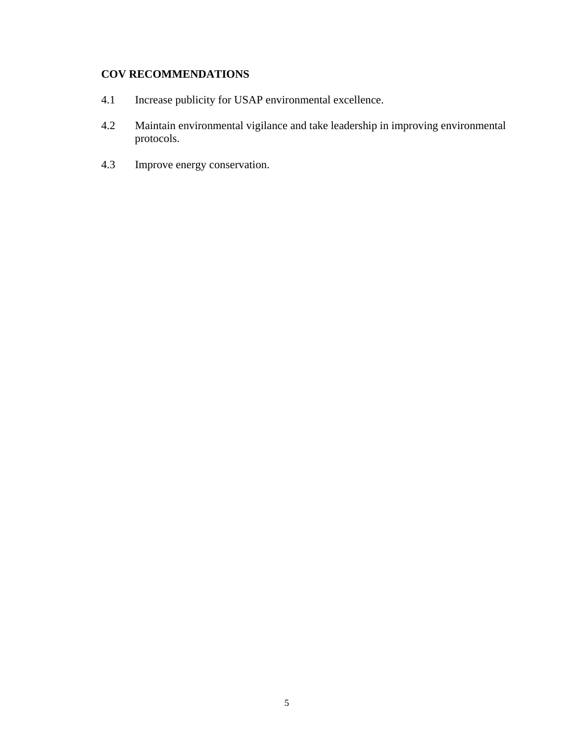# **COV RECOMMENDATIONS**

- 4.1 Increase publicity for USAP environmental excellence.
- 4.2 Maintain environmental vigilance and take leadership in improving environmental protocols.
- 4.3 Improve energy conservation.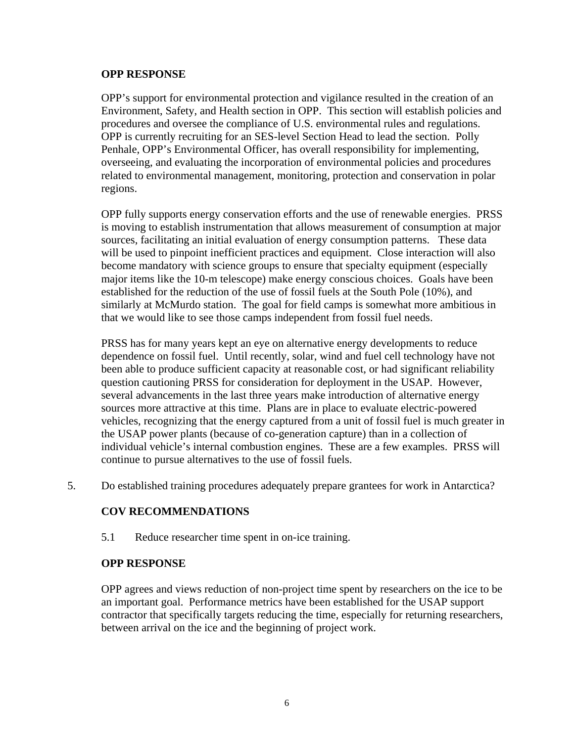#### **OPP RESPONSE**

OPP's support for environmental protection and vigilance resulted in the creation of an Environment, Safety, and Health section in OPP. This section will establish policies and procedures and oversee the compliance of U.S. environmental rules and regulations. OPP is currently recruiting for an SES-level Section Head to lead the section. Polly Penhale, OPP's Environmental Officer, has overall responsibility for implementing, overseeing, and evaluating the incorporation of environmental policies and procedures related to environmental management, monitoring, protection and conservation in polar regions.

OPP fully supports energy conservation efforts and the use of renewable energies. PRSS is moving to establish instrumentation that allows measurement of consumption at major sources, facilitating an initial evaluation of energy consumption patterns. These data will be used to pinpoint inefficient practices and equipment. Close interaction will also become mandatory with science groups to ensure that specialty equipment (especially major items like the 10-m telescope) make energy conscious choices. Goals have been established for the reduction of the use of fossil fuels at the South Pole (10%), and similarly at McMurdo station. The goal for field camps is somewhat more ambitious in that we would like to see those camps independent from fossil fuel needs.

PRSS has for many years kept an eye on alternative energy developments to reduce dependence on fossil fuel. Until recently, solar, wind and fuel cell technology have not been able to produce sufficient capacity at reasonable cost, or had significant reliability question cautioning PRSS for consideration for deployment in the USAP. However, several advancements in the last three years make introduction of alternative energy sources more attractive at this time. Plans are in place to evaluate electric-powered vehicles, recognizing that the energy captured from a unit of fossil fuel is much greater in the USAP power plants (because of co-generation capture) than in a collection of individual vehicle's internal combustion engines. These are a few examples. PRSS will continue to pursue alternatives to the use of fossil fuels.

5. Do established training procedures adequately prepare grantees for work in Antarctica?

## **COV RECOMMENDATIONS**

5.1 Reduce researcher time spent in on-ice training.

#### **OPP RESPONSE**

OPP agrees and views reduction of non-project time spent by researchers on the ice to be an important goal. Performance metrics have been established for the USAP support contractor that specifically targets reducing the time, especially for returning researchers, between arrival on the ice and the beginning of project work.